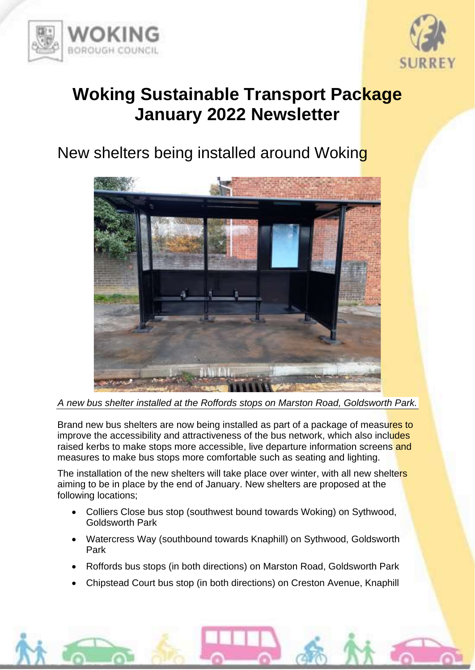



## **Woking Sustainable Transport Package January 2022 Newsletter**

## New shelters being installed around Woking



*A new bus shelter installed at the Roffords stops on Marston Road, Goldsworth Park.*

Brand new bus shelters are now being installed as part of a package of measures to improve the accessibility and attractiveness of the bus network, which also includes raised kerbs to make stops more accessible, live departure information screens and measures to make bus stops more comfortable such as seating and lighting.

The installation of the new shelters will take place over winter, with all new shelters aiming to be in place by the end of January. New shelters are proposed at the following locations;

- Colliers Close bus stop (southwest bound towards Woking) on Sythwood, Goldsworth Park
- Watercress Way (southbound towards Knaphill) on Sythwood, Goldsworth Park
- Roffords bus stops (in both directions) on Marston Road, Goldsworth Park
- Chipstead Court bus stop (in both directions) on Creston Avenue, Knaphill